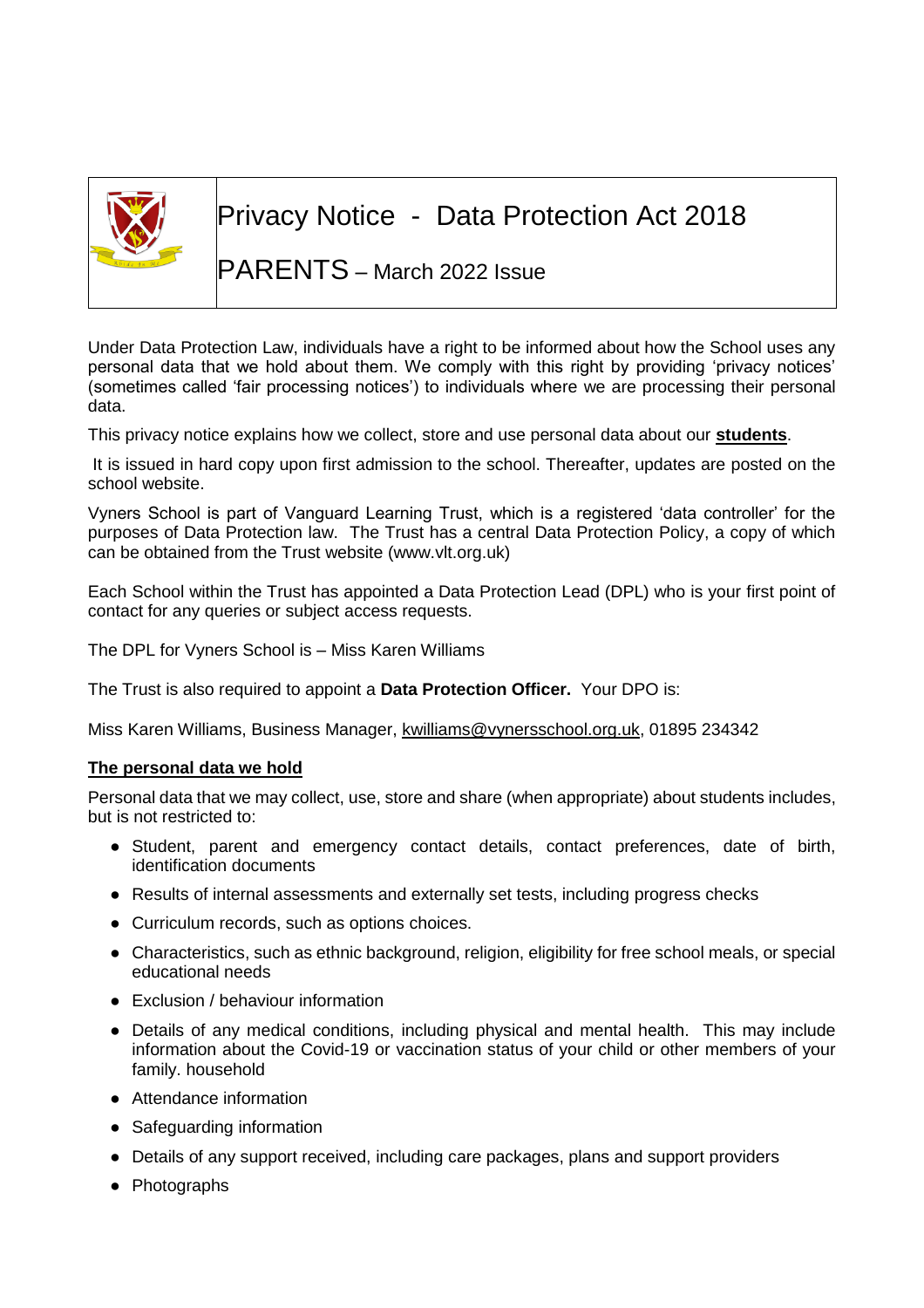

# Privacy Notice - Data Protection Act 2018

## PARENTS – March 2022 Issue

Under Data Protection Law, individuals have a right to be informed about how the School uses any personal data that we hold about them. We comply with this right by providing 'privacy notices' (sometimes called 'fair processing notices') to individuals where we are processing their personal data.

This privacy notice explains how we collect, store and use personal data about our **students**.

It is issued in hard copy upon first admission to the school. Thereafter, updates are posted on the school website.

Vyners School is part of Vanguard Learning Trust, which is a registered 'data controller' for the purposes of Data Protection law. The Trust has a central Data Protection Policy, a copy of which can be obtained from the Trust website (www.vlt.org.uk)

Each School within the Trust has appointed a Data Protection Lead (DPL) who is your first point of contact for any queries or subject access requests.

The DPL for Vyners School is – Miss Karen Williams

The Trust is also required to appoint a **Data Protection Officer.** Your DPO is:

Miss Karen Williams, Business Manager, [kwilliams@vynersschool.org.uk,](mailto:kwilliams@vynersschool.org.uk) 01895 234342

## **The personal data we hold**

Personal data that we may collect, use, store and share (when appropriate) about students includes, but is not restricted to:

- Student, parent and emergency contact details, contact preferences, date of birth, identification documents
- Results of internal assessments and externally set tests, including progress checks
- Curriculum records, such as options choices.
- Characteristics, such as ethnic background, religion, eligibility for free school meals, or special educational needs
- Exclusion / behaviour information
- Details of any medical conditions, including physical and mental health. This may include information about the Covid-19 or vaccination status of your child or other members of your family. household
- Attendance information
- Safeguarding information
- Details of any support received, including care packages, plans and support providers
- Photographs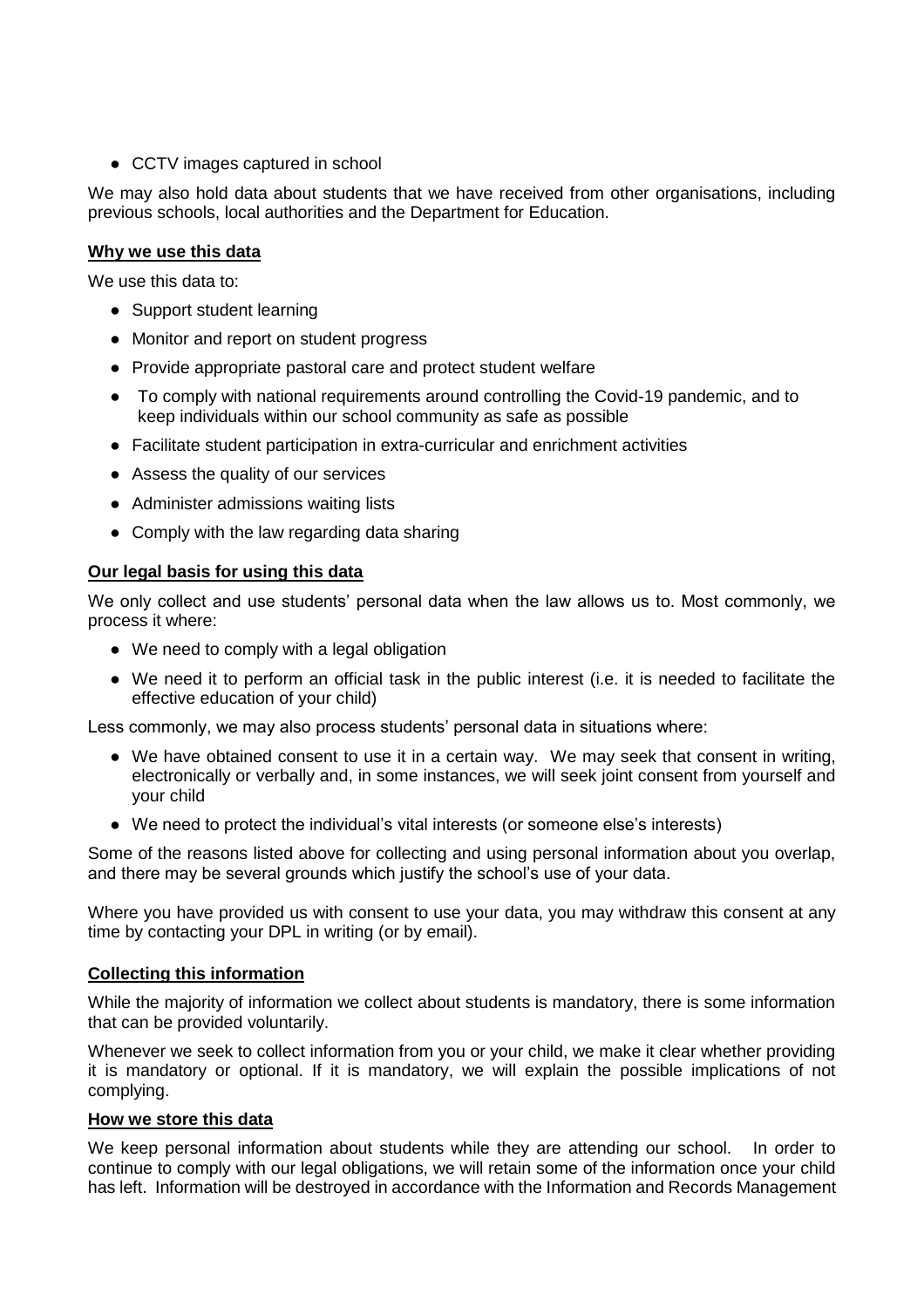● CCTV images captured in school

We may also hold data about students that we have received from other organisations, including previous schools, local authorities and the Department for Education.

## **Why we use this data**

We use this data to:

- Support student learning
- Monitor and report on student progress
- Provide appropriate pastoral care and protect student welfare
- To comply with national requirements around controlling the Covid-19 pandemic, and to keep individuals within our school community as safe as possible
- Facilitate student participation in extra-curricular and enrichment activities
- Assess the quality of our services
- Administer admissions waiting lists
- Comply with the law regarding data sharing

## **Our legal basis for using this data**

We only collect and use students' personal data when the law allows us to. Most commonly, we process it where:

- We need to comply with a legal obligation
- We need it to perform an official task in the public interest (i.e. it is needed to facilitate the effective education of your child)

Less commonly, we may also process students' personal data in situations where:

- We have obtained consent to use it in a certain way. We may seek that consent in writing, electronically or verbally and, in some instances, we will seek joint consent from yourself and your child
- We need to protect the individual's vital interests (or someone else's interests)

Some of the reasons listed above for collecting and using personal information about you overlap, and there may be several grounds which justify the school's use of your data.

Where you have provided us with consent to use your data, you may withdraw this consent at any time by contacting your DPL in writing (or by email).

## **Collecting this information**

While the majority of information we collect about students is mandatory, there is some information that can be provided voluntarily.

Whenever we seek to collect information from you or your child, we make it clear whether providing it is mandatory or optional. If it is mandatory, we will explain the possible implications of not complying.

#### **How we store this data**

We keep personal information about students while they are attending our school. In order to continue to comply with our legal obligations, we will retain some of the information once your child has left. Information will be destroyed in accordance with the Information and Records Management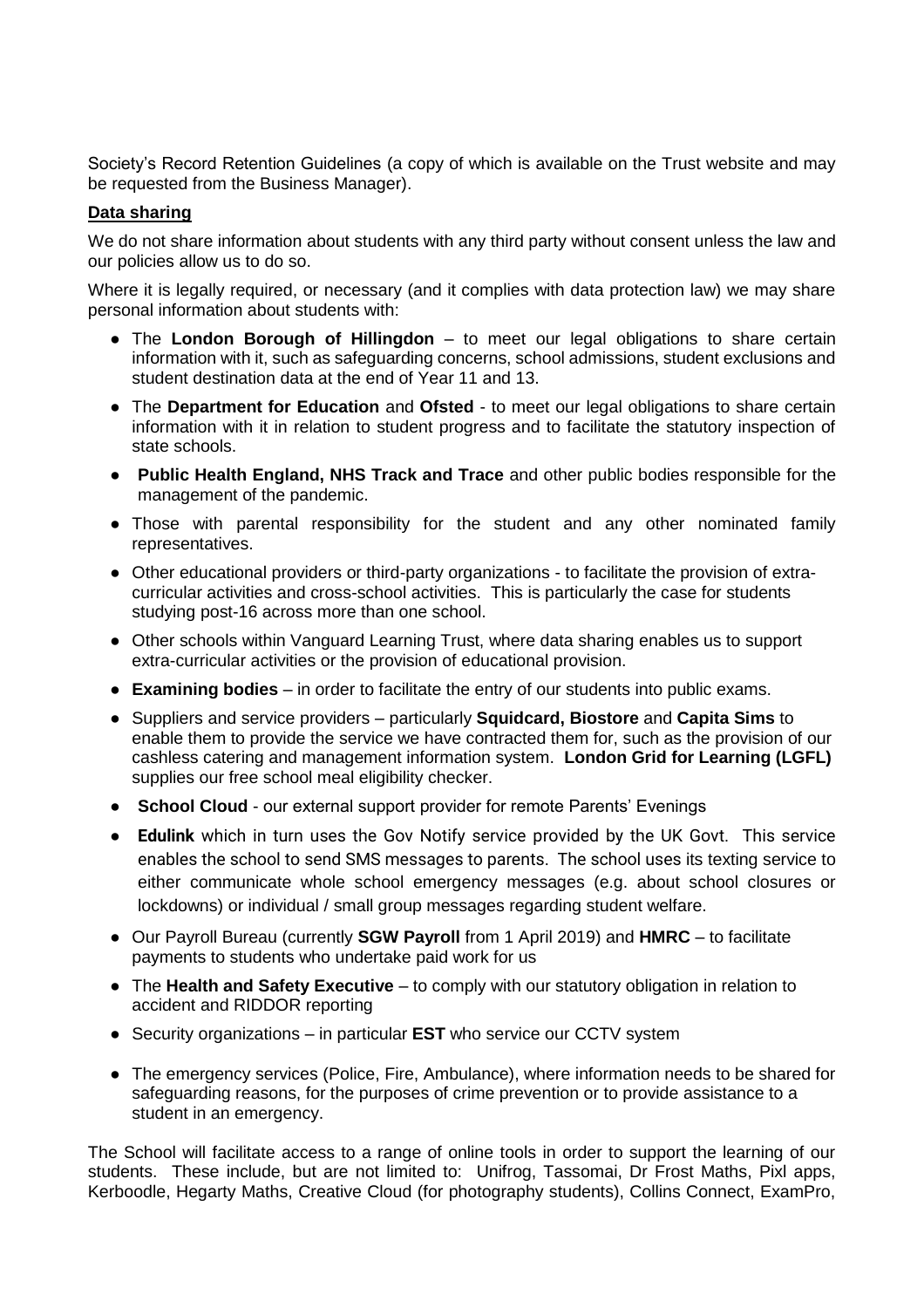Society's Record Retention Guidelines (a copy of which is available on the Trust website and may be requested from the Business Manager).

## **Data sharing**

We do not share information about students with any third party without consent unless the law and our policies allow us to do so.

Where it is legally required, or necessary (and it complies with data protection law) we may share personal information about students with:

- The **London Borough of Hillingdon** to meet our legal obligations to share certain information with it, such as safeguarding concerns, school admissions, student exclusions and student destination data at the end of Year 11 and 13.
- The **Department for Education** and **Ofsted** to meet our legal obligations to share certain information with it in relation to student progress and to facilitate the statutory inspection of state schools.
- **Public Health England, NHS Track and Trace** and other public bodies responsible for the management of the pandemic.
- Those with parental responsibility for the student and any other nominated family representatives.
- Other educational providers or third-party organizations to facilitate the provision of extracurricular activities and cross-school activities. This is particularly the case for students studying post-16 across more than one school.
- Other schools within Vanguard Learning Trust, where data sharing enables us to support extra-curricular activities or the provision of educational provision.
- **Examining bodies** in order to facilitate the entry of our students into public exams.
- Suppliers and service providers particularly **Squidcard, Biostore** and **Capita Sims** to enable them to provide the service we have contracted them for, such as the provision of our cashless catering and management information system. **London Grid for Learning (LGFL)** supplies our free school meal eligibility checker.
- **School Cloud** our external support provider for remote Parents' Evenings
- **Edulink** which in turn uses the Gov Notify service provided by the UK Govt. This service enables the school to send SMS messages to parents. The school uses its texting service to either communicate whole school emergency messages (e.g. about school closures or lockdowns) or individual / small group messages regarding student welfare.
- Our Payroll Bureau (currently **SGW Payroll** from 1 April 2019) and **HMRC** to facilitate payments to students who undertake paid work for us
- The **Health and Safety Executive**  to comply with our statutory obligation in relation to accident and RIDDOR reporting
- Security organizations in particular **EST** who service our CCTV system
- The emergency services (Police, Fire, Ambulance), where information needs to be shared for safeguarding reasons, for the purposes of crime prevention or to provide assistance to a student in an emergency.

The School will facilitate access to a range of online tools in order to support the learning of our students. These include, but are not limited to: Unifrog, Tassomai, Dr Frost Maths, Pixl apps, Kerboodle, Hegarty Maths, Creative Cloud (for photography students), Collins Connect, ExamPro,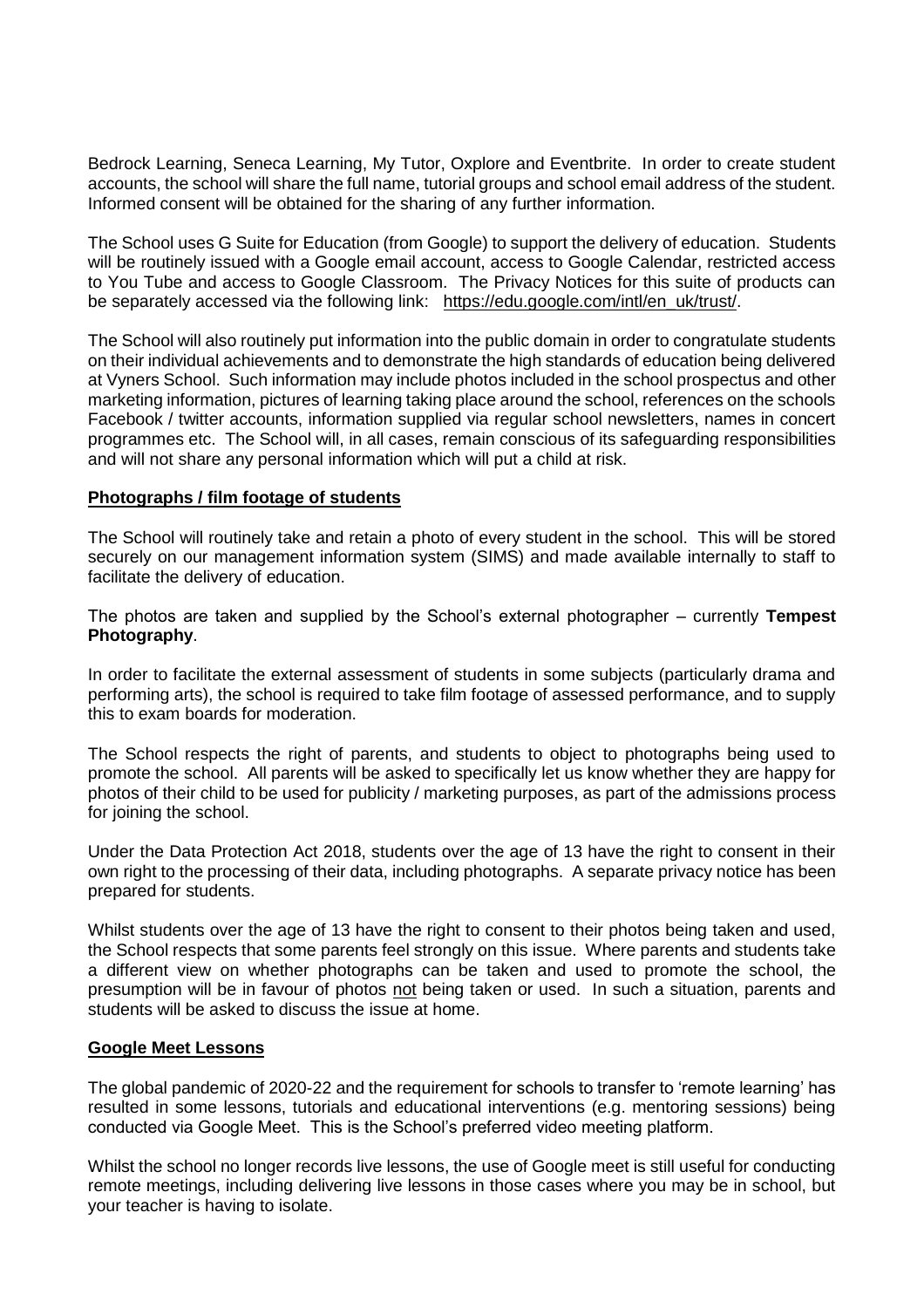Bedrock Learning, Seneca Learning, My Tutor, Oxplore and Eventbrite. In order to create student accounts, the school will share the full name, tutorial groups and school email address of the student. Informed consent will be obtained for the sharing of any further information.

The School uses G Suite for Education (from Google) to support the delivery of education. Students will be routinely issued with a Google email account, access to Google Calendar, restricted access to You Tube and access to Google Classroom. The Privacy Notices for this suite of products can be separately accessed via the following link: [https://edu.google.com/intl/en\\_uk/trust/.](https://edu.google.com/intl/en_uk/trust/)

The School will also routinely put information into the public domain in order to congratulate students on their individual achievements and to demonstrate the high standards of education being delivered at Vyners School. Such information may include photos included in the school prospectus and other marketing information, pictures of learning taking place around the school, references on the schools Facebook / twitter accounts, information supplied via regular school newsletters, names in concert programmes etc. The School will, in all cases, remain conscious of its safeguarding responsibilities and will not share any personal information which will put a child at risk.

#### **Photographs / film footage of students**

The School will routinely take and retain a photo of every student in the school. This will be stored securely on our management information system (SIMS) and made available internally to staff to facilitate the delivery of education.

The photos are taken and supplied by the School's external photographer – currently **Tempest Photography**.

In order to facilitate the external assessment of students in some subjects (particularly drama and performing arts), the school is required to take film footage of assessed performance, and to supply this to exam boards for moderation.

The School respects the right of parents, and students to object to photographs being used to promote the school. All parents will be asked to specifically let us know whether they are happy for photos of their child to be used for publicity / marketing purposes, as part of the admissions process for joining the school.

Under the Data Protection Act 2018, students over the age of 13 have the right to consent in their own right to the processing of their data, including photographs. A separate privacy notice has been prepared for students.

Whilst students over the age of 13 have the right to consent to their photos being taken and used, the School respects that some parents feel strongly on this issue. Where parents and students take a different view on whether photographs can be taken and used to promote the school, the presumption will be in favour of photos not being taken or used. In such a situation, parents and students will be asked to discuss the issue at home.

#### **Google Meet Lessons**

The global pandemic of 2020-22 and the requirement for schools to transfer to 'remote learning' has resulted in some lessons, tutorials and educational interventions (e.g. mentoring sessions) being conducted via Google Meet. This is the School's preferred video meeting platform.

Whilst the school no longer records live lessons, the use of Google meet is still useful for conducting remote meetings, including delivering live lessons in those cases where you may be in school, but your teacher is having to isolate.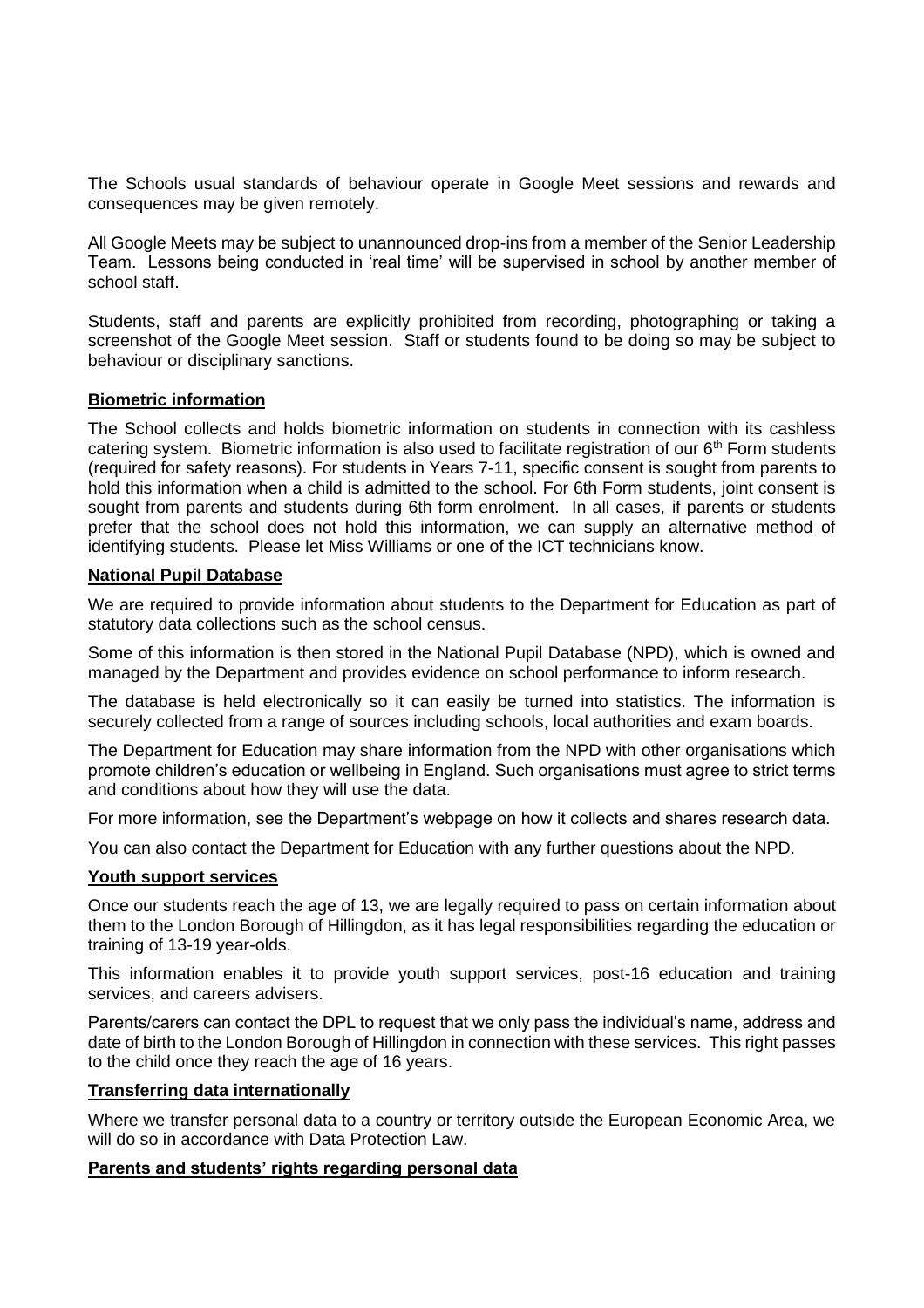The Schools usual standards of behaviour operate in Google Meet sessions and rewards and consequences may be given remotely.

All Google Meets may be subject to unannounced drop-ins from a member of the Senior Leadership Team. Lessons being conducted in 'real time' will be supervised in school by another member of school staff.

Students, staff and parents are explicitly prohibited from recording, photographing or taking a screenshot of the Google Meet session. Staff or students found to be doing so may be subject to behaviour or disciplinary sanctions.

#### **Biometric information**

The School collects and holds biometric information on students in connection with its cashless catering system. Biometric information is also used to facilitate registration of our  $6<sup>th</sup>$  Form students (required for safety reasons). For students in Years 7-11, specific consent is sought from parents to hold this information when a child is admitted to the school. For 6th Form students, joint consent is sought from parents and students during 6th form enrolment. In all cases, if parents or students prefer that the school does not hold this information, we can supply an alternative method of identifying students. Please let Miss Williams or one of the ICT technicians know.

#### **National Pupil Database**

We are required to provide information about students to the Department for Education as part of statutory data collections such as the school census.

Some of this information is then stored in the National Pupil Database (NPD), which is owned and managed by the Department and provides evidence on school performance to inform research.

The database is held electronically so it can easily be turned into statistics. The information is securely collected from a range of sources including schools, local authorities and exam boards.

The Department for Education may share information from the NPD with other organisations which promote children's education or wellbeing in England. Such organisations must agree to strict terms and conditions about how they will use the data.

For more information, see the Department's webpage on how it collects and shares research data.

You can also contact the Department for Education with any further questions about the NPD.

#### **Youth support services**

Once our students reach the age of 13, we are legally required to pass on certain information about them to the London Borough of Hillingdon, as it has legal responsibilities regarding the education or training of 13-19 year-olds.

This information enables it to provide youth support services, post-16 education and training services, and careers advisers.

Parents/carers can contact the DPL to request that we only pass the individual's name, address and date of birth to the London Borough of Hillingdon in connection with these services. This right passes to the child once they reach the age of 16 years.

#### **Transferring data internationally**

Where we transfer personal data to a country or territory outside the European Economic Area, we will do so in accordance with Data Protection Law.

#### **Parents and students' rights regarding personal data**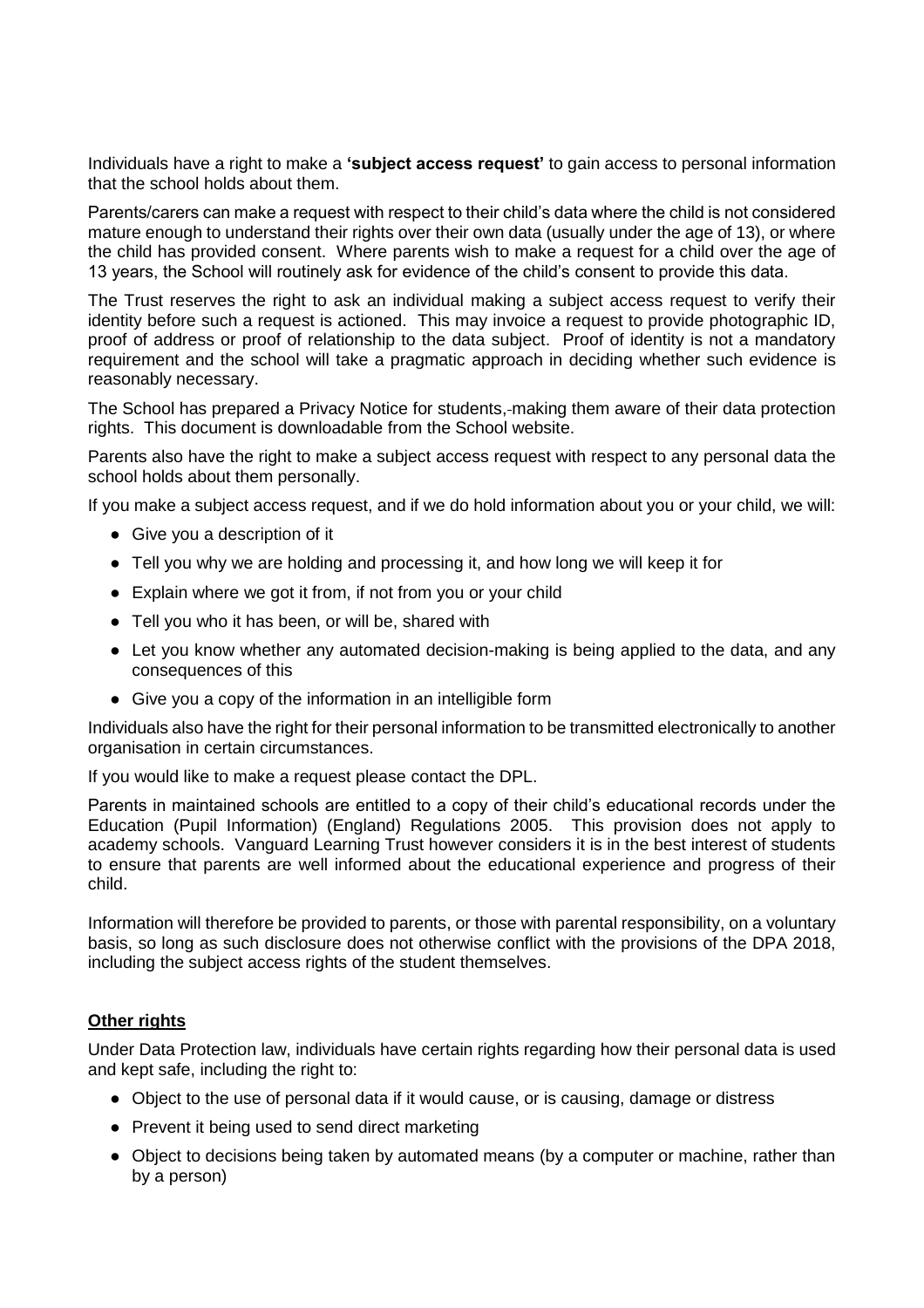Individuals have a right to make a **'subject access request'** to gain access to personal information that the school holds about them.

Parents/carers can make a request with respect to their child's data where the child is not considered mature enough to understand their rights over their own data (usually under the age of 13), or where the child has provided consent. Where parents wish to make a request for a child over the age of 13 years, the School will routinely ask for evidence of the child's consent to provide this data.

The Trust reserves the right to ask an individual making a subject access request to verify their identity before such a request is actioned. This may invoice a request to provide photographic ID, proof of address or proof of relationship to the data subject. Proof of identity is not a mandatory requirement and the school will take a pragmatic approach in deciding whether such evidence is reasonably necessary.

The School has prepared a Privacy Notice for students, making them aware of their data protection rights. This document is downloadable from the School website.

Parents also have the right to make a subject access request with respect to any personal data the school holds about them personally.

If you make a subject access request, and if we do hold information about you or your child, we will:

- Give you a description of it
- Tell you why we are holding and processing it, and how long we will keep it for
- Explain where we got it from, if not from you or your child
- Tell you who it has been, or will be, shared with
- Let you know whether any automated decision-making is being applied to the data, and any consequences of this
- Give you a copy of the information in an intelligible form

Individuals also have the right for their personal information to be transmitted electronically to another organisation in certain circumstances.

If you would like to make a request please contact the DPL.

Parents in maintained schools are entitled to a copy of their child's educational records under the Education (Pupil Information) (England) Regulations 2005. This provision does not apply to academy schools. Vanguard Learning Trust however considers it is in the best interest of students to ensure that parents are well informed about the educational experience and progress of their child.

Information will therefore be provided to parents, or those with parental responsibility, on a voluntary basis, so long as such disclosure does not otherwise conflict with the provisions of the DPA 2018, including the subject access rights of the student themselves.

## **Other rights**

Under Data Protection law, individuals have certain rights regarding how their personal data is used and kept safe, including the right to:

- Object to the use of personal data if it would cause, or is causing, damage or distress
- Prevent it being used to send direct marketing
- Object to decisions being taken by automated means (by a computer or machine, rather than by a person)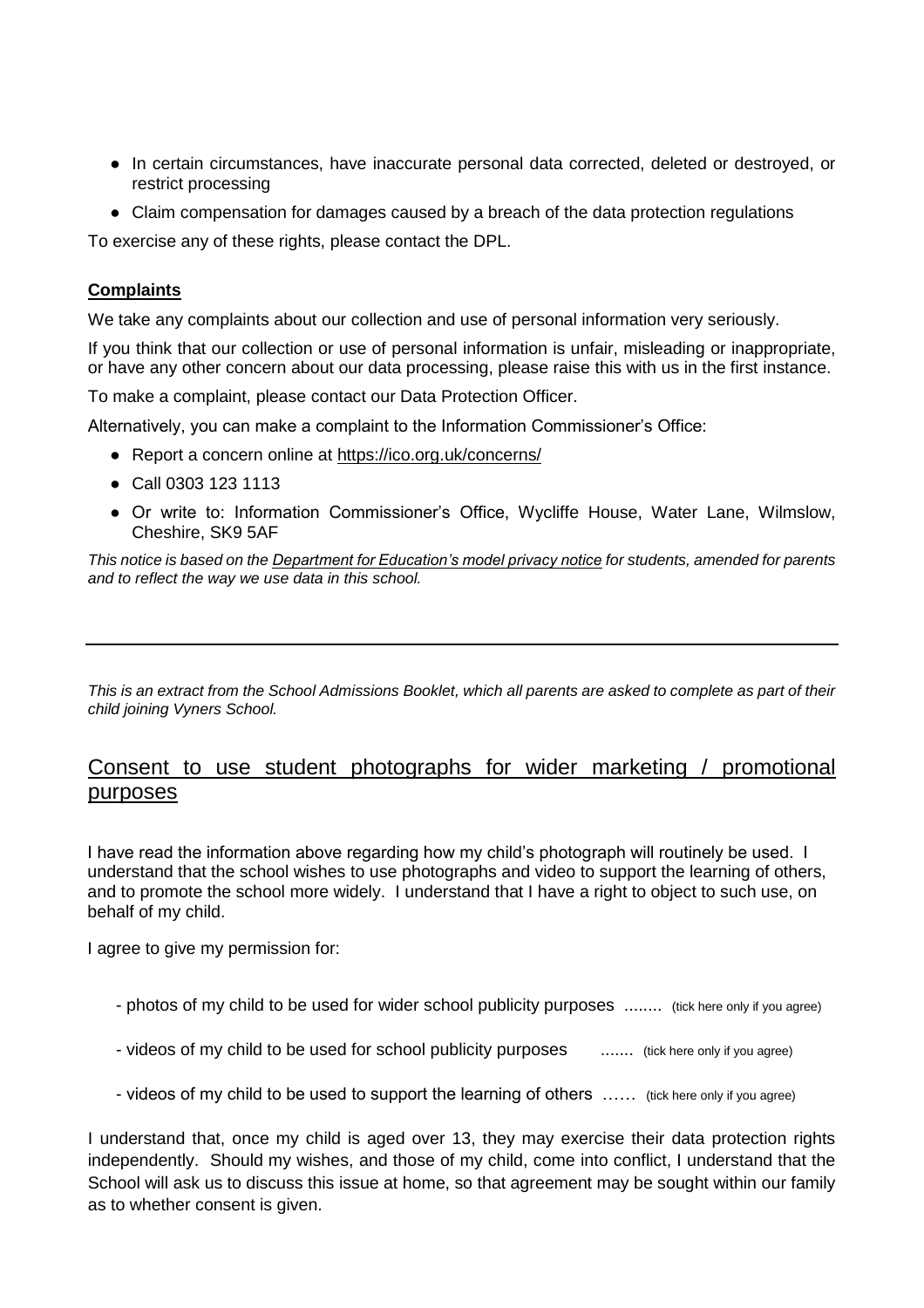- In certain circumstances, have inaccurate personal data corrected, deleted or destroyed, or restrict processing
- Claim compensation for damages caused by a breach of the data protection regulations

To exercise any of these rights, please contact the DPL.

## **Complaints**

We take any complaints about our collection and use of personal information very seriously.

If you think that our collection or use of personal information is unfair, misleading or inappropriate, or have any other concern about our data processing, please raise this with us in the first instance.

To make a complaint, please contact our Data Protection Officer.

Alternatively, you can make a complaint to the Information Commissioner's Office:

- Report a concern online at<https://ico.org.uk/concerns/>
- Call 0303 123 1113
- Or write to: Information Commissioner's Office, Wycliffe House, Water Lane, Wilmslow, Cheshire, SK9 5AF

*This notice is based on the Department for Education's model privacy notice for students, amended for parents and to reflect the way we use data in this school.*

*This is an extract from the School Admissions Booklet, which all parents are asked to complete as part of their child joining Vyners School.*

## Consent to use student photographs for wider marketing / promotional purposes

I have read the information above regarding how my child's photograph will routinely be used. I understand that the school wishes to use photographs and video to support the learning of others, and to promote the school more widely. I understand that I have a right to object to such use, on behalf of my child.

I agree to give my permission for:

- photos of my child to be used for wider school publicity purposes ........ (tick here only if you agree)
- videos of my child to be used for school publicity purposes ........ (tick here only if you agree)
- videos of my child to be used to support the learning of others …… (tick here only if you agree)

I understand that, once my child is aged over 13, they may exercise their data protection rights independently. Should my wishes, and those of my child, come into conflict, I understand that the School will ask us to discuss this issue at home, so that agreement may be sought within our family as to whether consent is given.